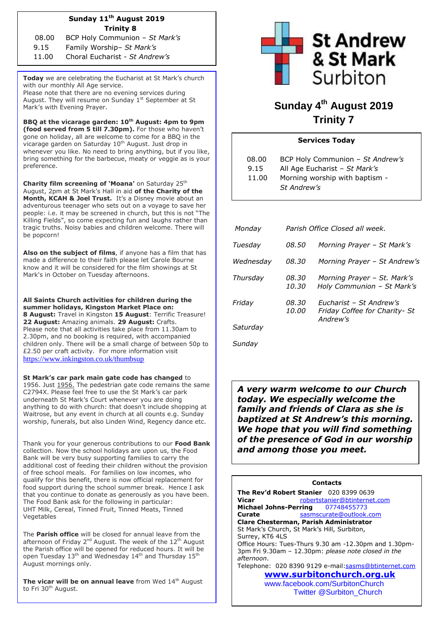# **Sunday 11 th August 2019 Trinity 8**

08.00 BCP Holy Communion – *St Mark's* 9.15 Family Worship– *St Mark's* 

11.00 Choral Eucharist - *St Andrew's*

**Today** we are celebrating the Eucharist at St Mark's church with our monthly All Age service. Please note that there are no evening services during

August. They will resume on Sunday 1st September at St Mark's with Evening Prayer.

**BBQ at the vicarage garden: 10th August: 4pm to 9pm (food served from 5 till 7.30pm).** For those who haven't gone on holiday, all are welcome to come for a BBQ in the vicarage garden on Saturday 10<sup>th</sup> August. Just drop in whenever you like. No need to bring anything, but if you like, bring something for the barbecue, meaty or veggie as is your preference.

**Charity film screening of 'Moana'** on Saturday 25<sup>th</sup> August, 2pm at St Mark's Hall in aid **of the Charity of the Month, KCAH & Joel Trust.** It's a Disney movie about an adventurous teenager who sets out on a voyage to save her people: i.e. it may be screened in church, but this is not "The Killing Fields", so come expecting fun and laughs rather than tragic truths. Noisy babies and children welcome. There will be popcorn!

**Also on the subject of films**, if anyone has a film that has made a difference to their faith please let Carole Bourne know and it will be considered for the film showings at St Mark's in October on Tuesday afternoons.

**All Saints Church activities for children during the summer holidays, Kingston Market Place on: 8 August:** Travel in Kingston **15 August**: Terrific Treasure! **22 August:** Amazing animals. **29 August:** Crafts. Please note that all activities take place from 11.30am to 2.30pm, and no booking is required, with accompanied children only. There will be a small charge of between 50p to £2.50 per craft activity. For more information visit <https://www.inkingston.co.uk/thumbsup>

**St Mark's car park main gate code has changed** to 1956. Just 1956. The pedestrian gate code remains the same C2794X. Please feel free to use the St Mark's car park underneath St Mark's Court whenever you are doing anything to do with church: that doesn't include shopping at Waitrose, but any event in church at all counts e.g. Sunday worship, funerals, but also Linden Wind, Regency dance etc.

Thank you for your generous contributions to our **Food Bank** collection. Now the school holidays are upon us, the Food Bank will be very busy supporting families to carry the additional cost of feeding their children without the provision of free school meals. For families on low incomes, who qualify for this benefit, there is now official replacement for food support during the school summer break. Hence I ask that you continue to donate as generously as you have been. The Food Bank ask for the following in particular: UHT Milk, Cereal, Tinned Fruit, Tinned Meats, Tinned Vegetables

The **Parish office** will be closed for annual leave from the afternoon of Friday 2<sup>nd</sup> August. The week of the 12<sup>th</sup> August the Parish office will be opened for reduced hours. It will be open Tuesday 13<sup>th</sup> and Wednesday 14<sup>th</sup> and Thursday 15<sup>th</sup> August mornings only.

**The vicar will be on annual leave** from Wed 14<sup>th</sup> August to Fri 30<sup>th</sup> August.



# **Sunday 4 th August 2019 Trinity 7**

# **Services Today**

| 08.00 | BCP Holy Communion - St Andrew's |
|-------|----------------------------------|
| 9.15  | All Age Eucharist - St Mark's    |
| 11.00 | Morning worship with baptism -   |
|       | St Andrew's                      |

| Monday    |                       | Parish Office Closed all week.                                       |
|-----------|-----------------------|----------------------------------------------------------------------|
| Tuesday   | <i>08.50</i>          | Morning Prayer - St Mark's                                           |
| Wednesday | 08.30                 | Morning Prayer - St Andrew's                                         |
| Thursday  | 08.30<br>10.30        | Morning Prayer - St. Mark's<br>Holy Communion - St Mark's            |
| Friday    | 08.30<br><i>10.00</i> | Fucharist - St Andrew's<br>Friday Coffee for Charity- St<br>Andrew's |
| Saturday  |                       |                                                                      |

*Sunday*

*A very warm welcome to our Church today. We especially welcome the family and friends of Clara as she is baptized at St Andrew's this morning. We hope that you will find something of the presence of God in our worship and among those you meet.*

| <b>Contacts</b>                                       |  |  |  |  |
|-------------------------------------------------------|--|--|--|--|
| The Rev'd Robert Stanier 020 8399 0639                |  |  |  |  |
| robertstanier@btinternet.com<br>Vicar                 |  |  |  |  |
| Michael Johns-Perring 07748455773                     |  |  |  |  |
| sasmscurate@outlook.com<br>Curate                     |  |  |  |  |
| Clare Chesterman, Parish Administrator                |  |  |  |  |
| St Mark's Church, St Mark's Hill, Surbiton,           |  |  |  |  |
| Surrey, KT6 4LS                                       |  |  |  |  |
| Office Hours: Tues-Thurs 9.30 am -12.30pm and 1.30pm- |  |  |  |  |
| 3pm Fri 9.30am - 12.30pm: please note closed in the   |  |  |  |  |
| afternoon.                                            |  |  |  |  |
| Telephone: 020 8390 9129 e-mail:sasms@btinternet.com  |  |  |  |  |
| www.surbitonchurch.org.uk                             |  |  |  |  |
| www.facebook.com/SurbitonChurch                       |  |  |  |  |

Twitter @Surbiton\_Church